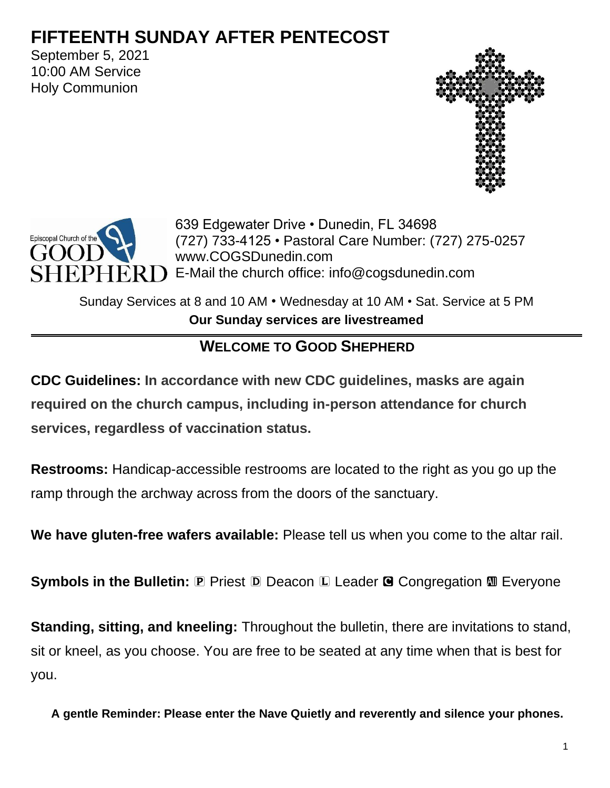# **FIFTEENTH SUNDAY AFTER PENTECOST**

September 5, 2021 10:00 AM Service Holy Communion





639 Edgewater Drive • Dunedin, FL 34698 (727) 733-4125 • Pastoral Care Number: (727) 275-0257 www.COGSDunedin.com  $PHER$   $\Box$  E-Mail the church office: info@cogsdunedin.com

Sunday Services at 8 and 10 AM • Wednesday at 10 AM • Sat. Service at 5 PM **Our Sunday services are livestreamed**

## **WELCOME TO GOOD SHEPHERD**

**CDC Guidelines: In accordance with new CDC guidelines, masks are again required on the church campus, including in-person attendance for church services, regardless of vaccination status.**

**Restrooms:** Handicap-accessible restrooms are located to the right as you go up the ramp through the archway across from the doors of the sanctuary.

**We have gluten-free wafers available:** Please tell us when you come to the altar rail.

**Symbols in the Bulletin: P** Priest **D** Deacon **L** Leader **G** Congregation **M** Everyone

**Standing, sitting, and kneeling:** Throughout the bulletin, there are invitations to stand, sit or kneel, as you choose. You are free to be seated at any time when that is best for you.

**A gentle Reminder: Please enter the Nave Quietly and reverently and silence your phones.**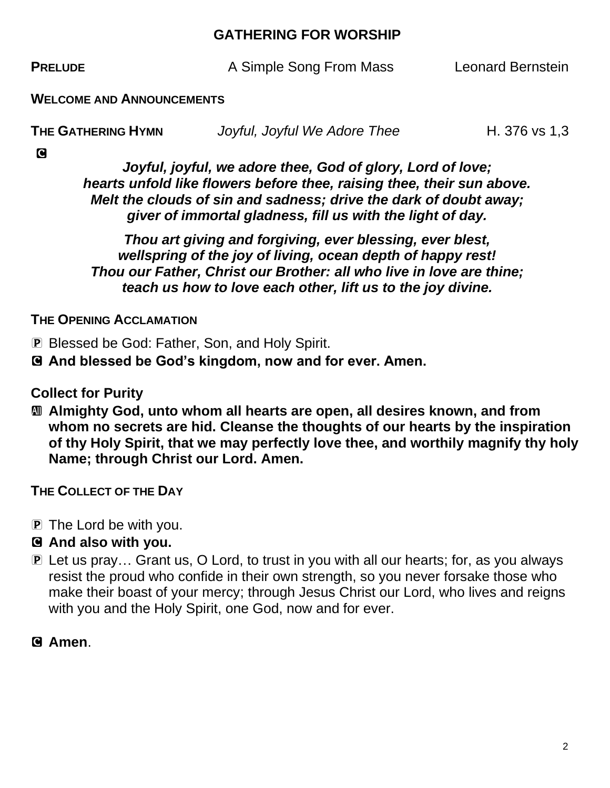#### **GATHERING FOR WORSHIP**

**PRELUDE** A Simple Song From Mass Leonard Bernstein

**WELCOME AND ANNOUNCEMENTS**

| THE GATHERING HYMN | Joyful, Joyful We Adore Thee | H. 376 vs 1,3 |
|--------------------|------------------------------|---------------|
|                    |                              |               |

C

*Joyful, joyful, we adore thee, God of glory, Lord of love; hearts unfold like flowers before thee, raising thee, their sun above. Melt the clouds of sin and sadness; drive the dark of doubt away; giver of immortal gladness, fill us with the light of day.*

*Thou art giving and forgiving, ever blessing, ever blest, wellspring of the joy of living, ocean depth of happy rest! Thou our Father, Christ our Brother: all who live in love are thine; teach us how to love each other, lift us to the joy divine.*

**THE OPENING ACCLAMATION**

P Blessed be God: Father, Son, and Holy Spirit.

C **And blessed be God's kingdom, now and for ever. Amen.**

**Collect for Purity**

a **Almighty God, unto whom all hearts are open, all desires known, and from whom no secrets are hid. Cleanse the thoughts of our hearts by the inspiration of thy Holy Spirit, that we may perfectly love thee, and worthily magnify thy holy Name; through Christ our Lord. Amen.**

**THE COLLECT OF THE DAY**

P The Lord be with you.

#### C **And also with you.**

**P** Let us pray... Grant us, O Lord, to trust in you with all our hearts; for, as you always resist the proud who confide in their own strength, so you never forsake those who make their boast of your mercy; through Jesus Christ our Lord, who lives and reigns with you and the Holy Spirit, one God, now and for ever.

C **Amen**.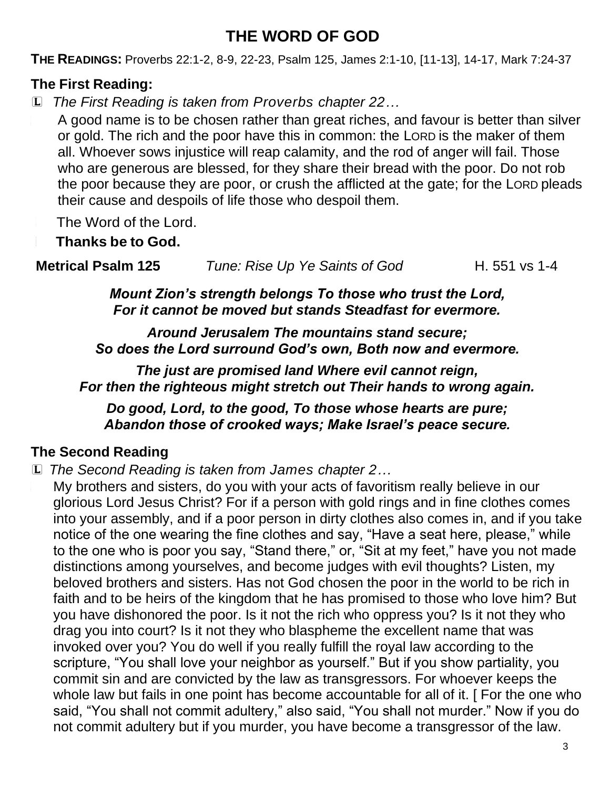# **THE WORD OF GOD**

**THE READINGS:** Proverbs 22:1-2, 8-9, 22-23, Psalm 125, James 2:1-10, [11-13], 14-17, Mark 7:24-37

### **The First Reading:**

L *The First Reading is taken from Proverbs chapter 22…*

<sup>L</sup> A good name is to be chosen rather than great riches, and favour is better than silver or gold. The rich and the poor have this in common: the LORD is the maker of them all. Whoever sows injustice will reap calamity, and the rod of anger will fail. Those who are generous are blessed, for they share their bread with the poor. Do not rob the poor because they are poor, or crush the afflicted at the gate; for the LORD pleads their cause and despoils of life those who despoil them.

The Word of the Lord.

<sup>C</sup> **Thanks be to God.**

**Metrical Psalm 125** *Tune: Rise Up Ye Saints of God* H. 551 vs 1-4

*Mount Zion's strength belongs To those who trust the Lord, For it cannot be moved but stands Steadfast for evermore.*

*Around Jerusalem The mountains stand secure; So does the Lord surround God's own, Both now and evermore.*

*The just are promised land Where evil cannot reign, For then the righteous might stretch out Their hands to wrong again.*

*Do good, Lord, to the good, To those whose hearts are pure; Abandon those of crooked ways; Make Israel's peace secure.*

## **The Second Reading**

L *The Second Reading is taken from James chapter 2…*

My brothers and sisters, do you with your acts of favoritism really believe in our glorious Lord Jesus Christ? For if a person with gold rings and in fine clothes comes into your assembly, and if a poor person in dirty clothes also comes in, and if you take notice of the one wearing the fine clothes and say, "Have a seat here, please," while to the one who is poor you say, "Stand there," or, "Sit at my feet," have you not made distinctions among yourselves, and become judges with evil thoughts? Listen, my beloved brothers and sisters. Has not God chosen the poor in the world to be rich in faith and to be heirs of the kingdom that he has promised to those who love him? But you have dishonored the poor. Is it not the rich who oppress you? Is it not they who drag you into court? Is it not they who blaspheme the excellent name that was invoked over you? You do well if you really fulfill the royal law according to the scripture, "You shall love your neighbor as yourself." But if you show partiality, you commit sin and are convicted by the law as transgressors. For whoever keeps the whole law but fails in one point has become accountable for all of it. [ For the one who said, "You shall not commit adultery," also said, "You shall not murder." Now if you do not commit adultery but if you murder, you have become a transgressor of the law.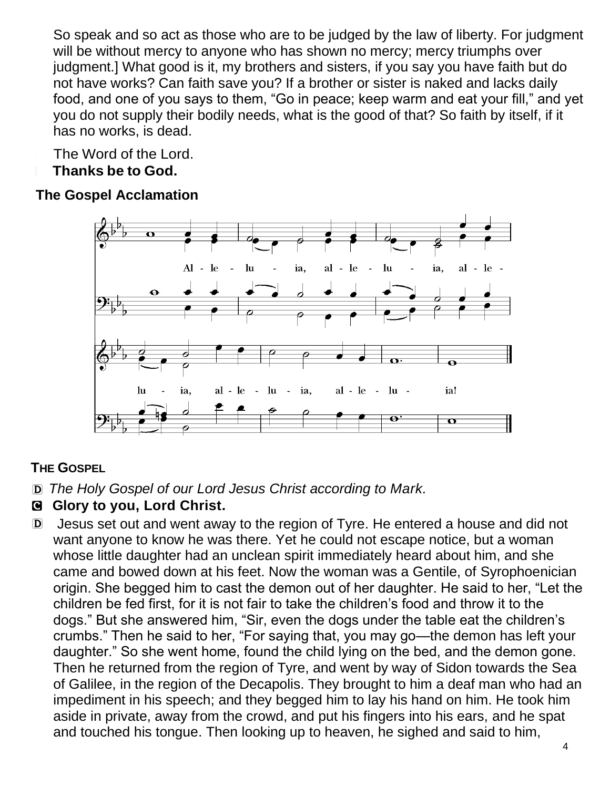So speak and so act as those who are to be judged by the law of liberty. For judgment will be without mercy to anyone who has shown no mercy; mercy triumphs over judgment.] What good is it, my brothers and sisters, if you say you have faith but do not have works? Can faith save you? If a brother or sister is naked and lacks daily food, and one of you says to them, "Go in peace; keep warm and eat your fill," and yet you do not supply their bodily needs, what is the good of that? So faith by itself, if it has no works, is dead.

The Word of the Lord.

<sup>C</sup> **Thanks be to God.**

## **The Gospel Acclamation**



## **THE GOSPEL**

D *The Holy Gospel of our Lord Jesus Christ according to Mark.*

## C **Glory to you, Lord Christ.**

D Jesus set out and went away to the region of Tyre. He entered a house and did not want anyone to know he was there. Yet he could not escape notice, but a woman whose little daughter had an unclean spirit immediately heard about him, and she came and bowed down at his feet. Now the woman was a Gentile, of Syrophoenician origin. She begged him to cast the demon out of her daughter. He said to her, "Let the children be fed first, for it is not fair to take the children's food and throw it to the dogs." But she answered him, "Sir, even the dogs under the table eat the children's crumbs." Then he said to her, "For saying that, you may go—the demon has left your daughter." So she went home, found the child lying on the bed, and the demon gone. Then he returned from the region of Tyre, and went by way of Sidon towards the Sea of Galilee, in the region of the Decapolis. They brought to him a deaf man who had an impediment in his speech; and they begged him to lay his hand on him. He took him aside in private, away from the crowd, and put his fingers into his ears, and he spat and touched his tongue. Then looking up to heaven, he sighed and said to him,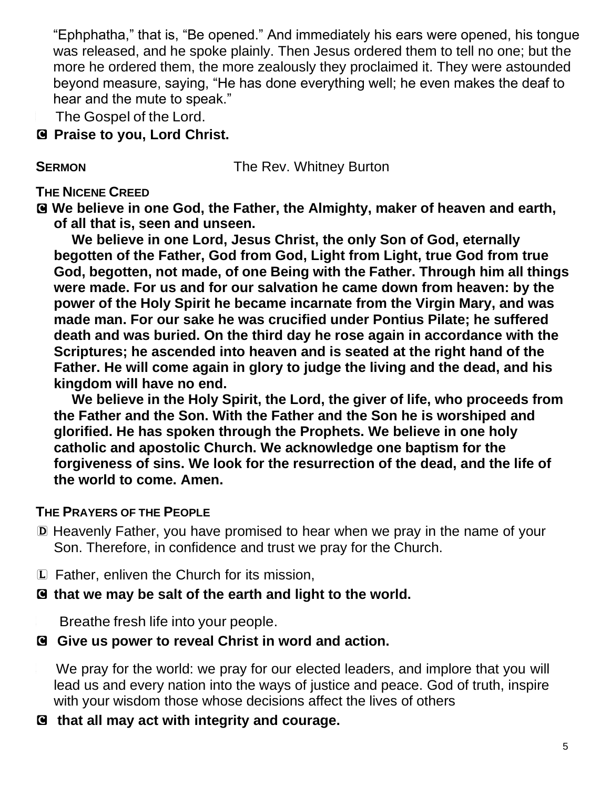"Ephphatha," that is, "Be opened." And immediately his ears were opened, his tongue was released, and he spoke plainly. Then Jesus ordered them to tell no one; but the more he ordered them, the more zealously they proclaimed it. They were astounded beyond measure, saying, "He has done everything well; he even makes the deaf to hear and the mute to speak."

The Gospel of the Lord.

C **Praise to you, Lord Christ.**

**SERMON** The Rev. Whitney Burton

#### **THE NICENE CREED**

C **We believe in one God, the Father, the Almighty, maker of heaven and earth, of all that is, seen and unseen.**

**We believe in one Lord, Jesus Christ, the only Son of God, eternally begotten of the Father, God from God, Light from Light, true God from true God, begotten, not made, of one Being with the Father. Through him all things were made. For us and for our salvation he came down from heaven: by the power of the Holy Spirit he became incarnate from the Virgin Mary, and was made man. For our sake he was crucified under Pontius Pilate; he suffered death and was buried. On the third day he rose again in accordance with the Scriptures; he ascended into heaven and is seated at the right hand of the Father. He will come again in glory to judge the living and the dead, and his kingdom will have no end.**

**We believe in the Holy Spirit, the Lord, the giver of life, who proceeds from the Father and the Son. With the Father and the Son he is worshiped and glorified. He has spoken through the Prophets. We believe in one holy catholic and apostolic Church. We acknowledge one baptism for the forgiveness of sins. We look for the resurrection of the dead, and the life of the world to come. Amen.**

#### **THE PRAYERS OF THE PEOPLE**

- D Heavenly Father, you have promised to hear when we pray in the name of your Son. Therefore, in confidence and trust we pray for the Church.
- L Father, enliven the Church for its mission,

#### C **that we may be salt of the earth and light to the world.**

Breathe fresh life into your people.

#### C **Give us power to reveal Christ in word and action.**

We pray for the world: we pray for our elected leaders, and implore that you will lead us and every nation into the ways of justice and peace. God of truth, inspire with your wisdom those whose decisions affect the lives of others

#### C **that all may act with integrity and courage.**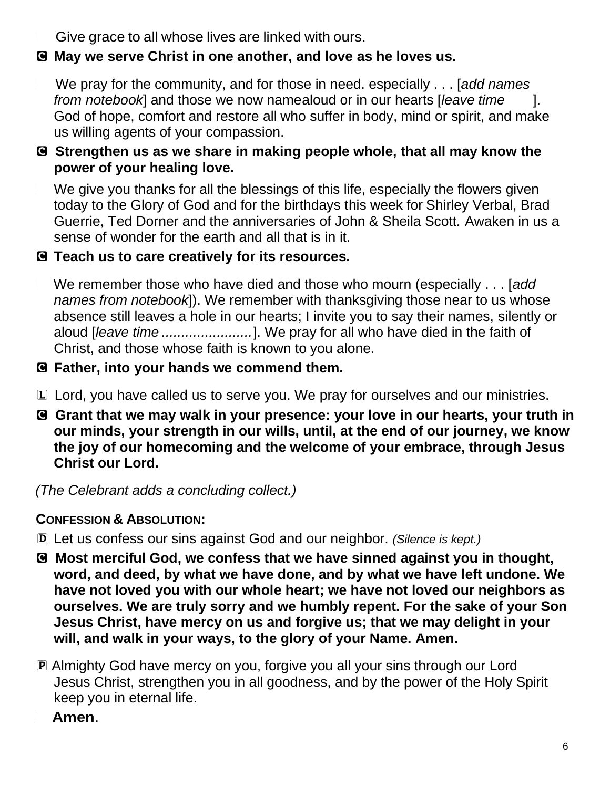Give grace to all whose lives are linked with ours.

### C **May we serve Christ in one another, and love as he loves us.**

<sup>L</sup> We pray for the community, and for those in need. especially . . . [*add names from notebook*] and those we now namealoud or in our hearts [*leave time* God of hope, comfort and restore all who suffer in body, mind or spirit, and make us willing agents of your compassion.

#### C **Strengthen us as we share in making people whole, that all may know the power of your healing love.**

We give you thanks for all the blessings of this life, especially the flowers given today to the Glory of God and for the birthdays this week for Shirley Verbal, Brad Guerrie, Ted Dorner and the anniversaries of John & Sheila Scott*.* Awaken in us a sense of wonder for the earth and all that is in it.

#### C **Teach us to care creatively for its resources.**

<sup>L</sup> We remember those who have died and those who mourn (especially . . . [*add names from notebook*]). We remember with thanksgiving those near to us whose absence still leaves a hole in our hearts; I invite you to say their names, silently or aloud [*leave time .......................*]. We pray for all who have died in the faith of Christ, and those whose faith is known to you alone.

#### C **Father, into your hands we commend them.**

- L Lord, you have called us to serve you. We pray for ourselves and our ministries.
- C **Grant that we may walk in your presence: your love in our hearts, your truth in our minds, your strength in our wills, until, at the end of our journey, we know the joy of our homecoming and the welcome of your embrace, through Jesus Christ our Lord.**

*(The Celebrant adds a concluding collect.)* 

#### **CONFESSION & ABSOLUTION:**

- D Let us confess our sins against God and our neighbor. *(Silence is kept.)*
- C **Most merciful God, we confess that we have sinned against you in thought, word, and deed, by what we have done, and by what we have left undone. We have not loved you with our whole heart; we have not loved our neighbors as ourselves. We are truly sorry and we humbly repent. For the sake of your Son Jesus Christ, have mercy on us and forgive us; that we may delight in your will, and walk in your ways, to the glory of your Name. Amen.**
- P Almighty God have mercy on you, forgive you all your sins through our Lord Jesus Christ, strengthen you in all goodness, and by the power of the Holy Spirit keep you in eternal life.
	- <sup>C</sup> **Amen**.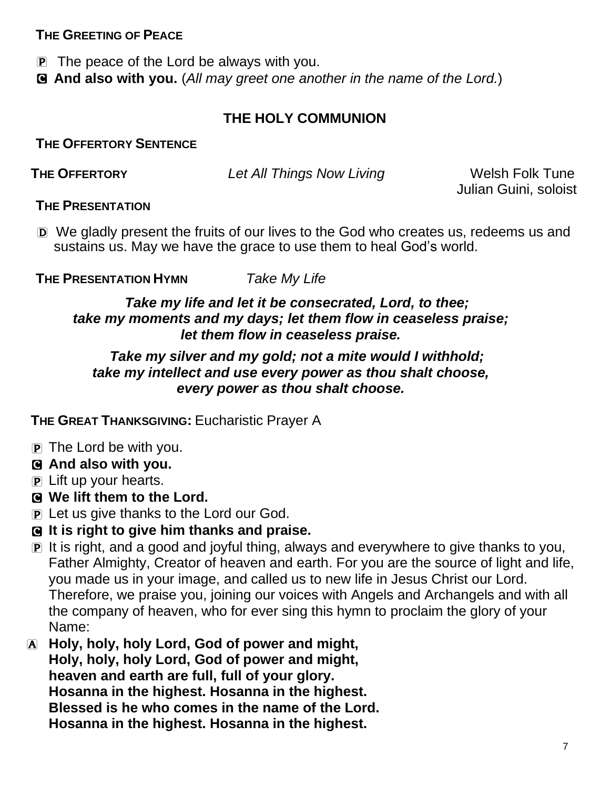#### **THE GREETING OF PEACE**

P The peace of the Lord be always with you.

C **And also with you.** (*All may greet one another in the name of the Lord.*)

### **THE HOLY COMMUNION**

**THE OFFERTORY SENTENCE**

**THE OFFERTORY** *Let All Things Now Living* Welsh Folk Tune

Julian Guini, soloist

#### **THE PRESENTATION**

D We gladly present the fruits of our lives to the God who creates us, redeems us and sustains us. May we have the grace to use them to heal God's world.

**THE PRESENTATION HYMN** *Take My Life*

#### *Take my life and let it be consecrated, Lord, to thee; take my moments and my days; let them flow in ceaseless praise; let them flow in ceaseless praise.*

#### *Take my silver and my gold; not a mite would I withhold; take my intellect and use every power as thou shalt choose, every power as thou shalt choose.*

**THE GREAT THANKSGIVING:** Eucharistic Prayer A

- $\mathbf{P}$  The Lord be with you.
- C **And also with you.**
- P Lift up your hearts.
- C **We lift them to the Lord.**
- P Let us give thanks to the Lord our God.
- C **It is right to give him thanks and praise.**
- P It is right, and a good and joyful thing, always and everywhere to give thanks to you, Father Almighty, Creator of heaven and earth. For you are the source of light and life, you made us in your image, and called us to new life in Jesus Christ our Lord. Therefore, we praise you, joining our voices with Angels and Archangels and with all the company of heaven, who for ever sing this hymn to proclaim the glory of your Name:
- A **Holy, holy, holy Lord, God of power and might, Holy, holy, holy Lord, God of power and might, heaven and earth are full, full of your glory. Hosanna in the highest. Hosanna in the highest. Blessed is he who comes in the name of the Lord. Hosanna in the highest. Hosanna in the highest.**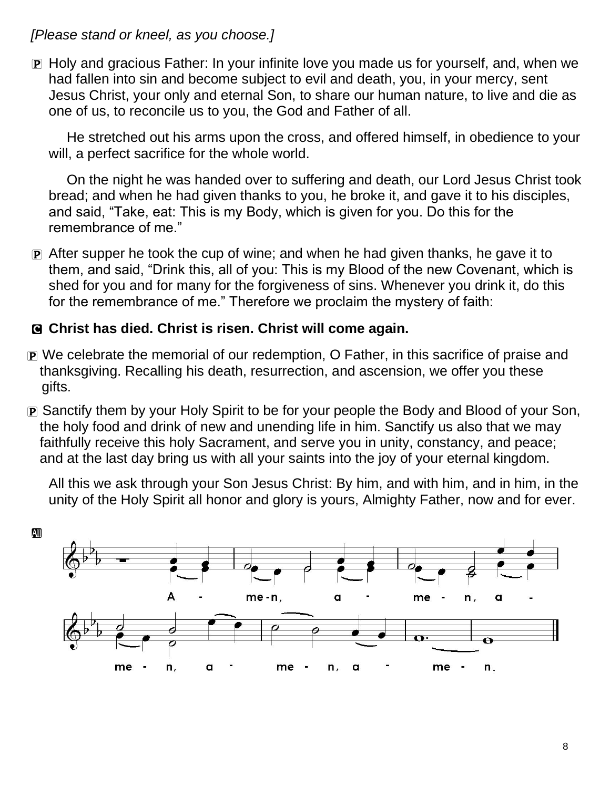*[Please stand or kneel, as you choose.]*

P Holy and gracious Father: In your infinite love you made us for yourself, and, when we had fallen into sin and become subject to evil and death, you, in your mercy, sent Jesus Christ, your only and eternal Son, to share our human nature, to live and die as one of us, to reconcile us to you, the God and Father of all.

He stretched out his arms upon the cross, and offered himself, in obedience to your will, a perfect sacrifice for the whole world.

On the night he was handed over to suffering and death, our Lord Jesus Christ took bread; and when he had given thanks to you, he broke it, and gave it to his disciples, and said, "Take, eat: This is my Body, which is given for you. Do this for the remembrance of me."

P After supper he took the cup of wine; and when he had given thanks, he gave it to them, and said, "Drink this, all of you: This is my Blood of the new Covenant, which is shed for you and for many for the forgiveness of sins. Whenever you drink it, do this for the remembrance of me." Therefore we proclaim the mystery of faith:

#### C **Christ has died. Christ is risen. Christ will come again.**

- P We celebrate the memorial of our redemption, O Father, in this sacrifice of praise and thanksgiving. Recalling his death, resurrection, and ascension, we offer you these gifts.
- P Sanctify them by your Holy Spirit to be for your people the Body and Blood of your Son, the holy food and drink of new and unending life in him. Sanctify us also that we may faithfully receive this holy Sacrament, and serve you in unity, constancy, and peace; and at the last day bring us with all your saints into the joy of your eternal kingdom.

All this we ask through your Son Jesus Christ: By him, and with him, and in him, in the unity of the Holy Spirit all honor and glory is yours, Almighty Father, now and for ever.

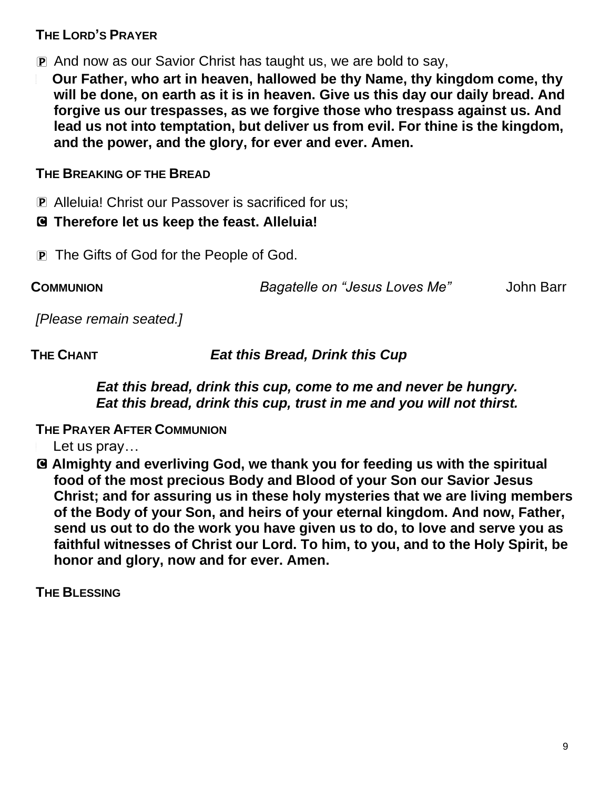#### **THE LORD'S PRAYER**

P And now as our Savior Christ has taught us, we are bold to say,

<sup>a</sup> **Our Father, who art in heaven, hallowed be thy Name, thy kingdom come, thy will be done, on earth as it is in heaven. Give us this day our daily bread. And forgive us our trespasses, as we forgive those who trespass against us. And lead us not into temptation, but deliver us from evil. For thine is the kingdom, and the power, and the glory, for ever and ever. Amen.**

#### **THE BREAKING OF THE BREAD**

P Alleluia! Christ our Passover is sacrificed for us;

#### C **Therefore let us keep the feast. Alleluia!**

**P** The Gifts of God for the People of God.

**COMMUNION** *Bagatelle on "Jesus Loves Me"* John Barr

*[Please remain seated.]*

**THE CHANT** *Eat this Bread, Drink this Cup*

#### *Eat this bread, drink this cup, come to me and never be hungry. Eat this bread, drink this cup, trust in me and you will not thirst.*

#### **THE PRAYER AFTER COMMUNION**

- Let us pray...
- C **Almighty and everliving God, we thank you for feeding us with the spiritual food of the most precious Body and Blood of your Son our Savior Jesus Christ; and for assuring us in these holy mysteries that we are living members of the Body of your Son, and heirs of your eternal kingdom. And now, Father, send us out to do the work you have given us to do, to love and serve you as faithful witnesses of Christ our Lord. To him, to you, and to the Holy Spirit, be honor and glory, now and for ever. Amen.**

**THE BLESSING**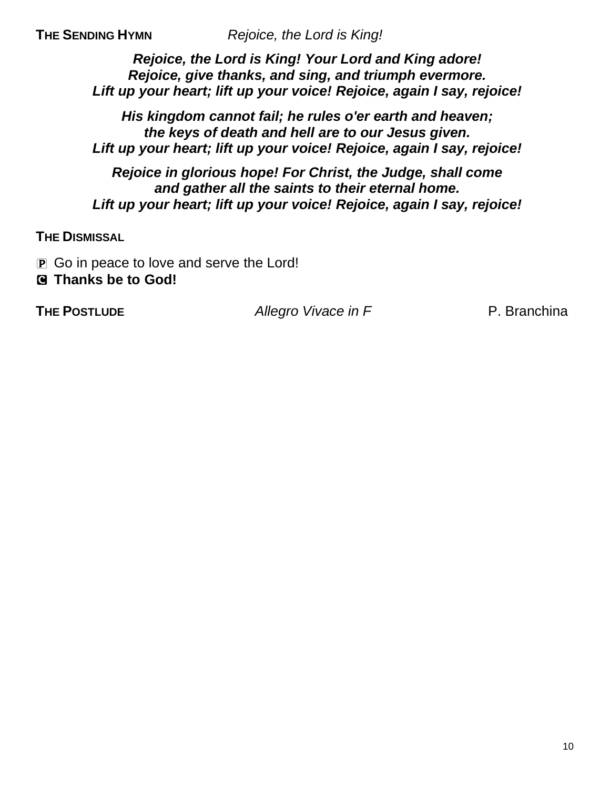**THE SENDING HYMN** *Rejoice, the Lord is King!*

*Rejoice, the Lord is King! Your Lord and King adore! Rejoice, give thanks, and sing, and triumph evermore. Lift up your heart; lift up your voice! Rejoice, again I say, rejoice!*

*His kingdom cannot fail; he rules o'er earth and heaven; the keys of death and hell are to our Jesus given. Lift up your heart; lift up your voice! Rejoice, again I say, rejoice!*

*Rejoice in glorious hope! For Christ, the Judge, shall come and gather all the saints to their eternal home. Lift up your heart; lift up your voice! Rejoice, again I say, rejoice!*

**THE DISMISSAL**

- **P** Go in peace to love and serve the Lord!
- C **Thanks be to God!**

**THE POSTLUDE** *Allegro Vivace in F* **P. Branchina**